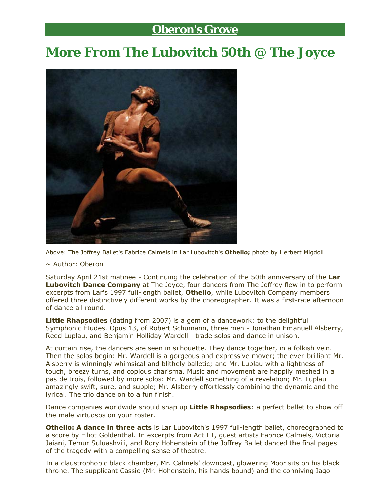## **Oberon's Grove**

## **More From The Lubovitch 50th @ The Joyce**



Above: The Joffrey Ballet's Fabrice Calmels in Lar Lubovitch's *Othello;* photo by Herbert Migdoll

## ~ Author: *Oberon*

Saturday April 21st matinee - Continuing the celebration of the 50th anniversary of the **Lar Lubovitch Dance Company** at The Joyce, four dancers from The Joffrey flew in to perform excerpts from Lar's 1997 full-length ballet, *Othello*, while Lubovitch Company members offered three distinctively different works by the choreographer. It was a first-rate afternoon of dance all round.

*Little Rhapsodies* (dating from 2007) is a gem of a dancework: to the delightful *Symphonic Études,* Opus 13, of Robert Schumann, three men - Jonathan Emanuell Alsberry, Reed Luplau, and Benjamin Holliday Wardell - trade solos and dance in unison.

At curtain rise, the dancers are seen in silhouette. They dance together, in a folkish vein. Then the solos begin: Mr. Wardell is a gorgeous and expressive mover; the ever-brilliant Mr. Alsberry is winningly whimsical and blithely balletic; and Mr. Luplau with a lightness of touch, breezy turns, and copious charisma. Music and movement are happily meshed in a *pas de trois*, followed by more solos: Mr. Wardell something of a revelation; Mr. Luplau amazingly swift, sure, and supple; Mr. Alsberry effortlessly combining the dynamic and the lyrical. The trio dance on to a fun finish.

Dance companies worldwide should snap up *Little Rhapsodies*: a perfect ballet to show off the male virtuosos on your roster.

*Othello: A dance in three acts* is Lar Lubovitch's 1997 full-length ballet, choreographed to a score by Elliot Goldenthal. In excerpts from Act III, guest artists Fabrice Calmels, Victoria Jaiani, Temur Suluashvili, and Rory Hohenstein of the Joffrey Ballet danced the final pages of the tragedy with a compelling sense of theatre.

In a claustrophobic black chamber, Mr. Calmels' downcast, glowering Moor sits on his black throne. The supplicant Cassio (Mr. Hohenstein, his hands bound) and the conniving Iago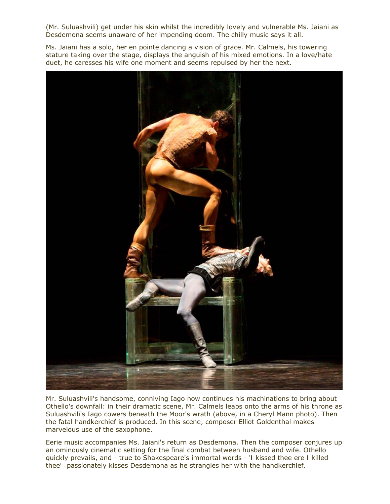(Mr. Suluashvili) get under his skin whilst the incredibly lovely and vulnerable Ms. Jaiani as Desdemona seems unaware of her impending doom. The chilly music says it all.

Ms. Jaiani has a solo, her *en pointe* dancing a vision of grace. Mr. Calmels, his towering stature taking over the stage, displays the anguish of his mixed emotions. In a love/hate duet, he caresses his wife one moment and seems repulsed by her the next.



Mr. Suluashvili's handsome, conniving Iago now continues his machinations to bring about Othello's downfall: in their dramatic scene, Mr. Calmels leaps onto the arms of his throne as Suluashvili's Iago cowers beneath the Moor's wrath (above, in a Cheryl Mann photo). Then the fatal handkerchief is produced. In this scene, composer Elliot Goldenthal makes marvelous use of the saxophone.

Eerie music accompanies Ms. Jaiani's return as Desdemona. Then the composer conjures up an ominously cinematic setting for the final combat between husband and wife. Othello quickly prevails, and - true to Shakespeare's immortal words - '*I kissed thee ere I killed thee' -*passionately kisses Desdemona as he strangles her with the handkerchief.